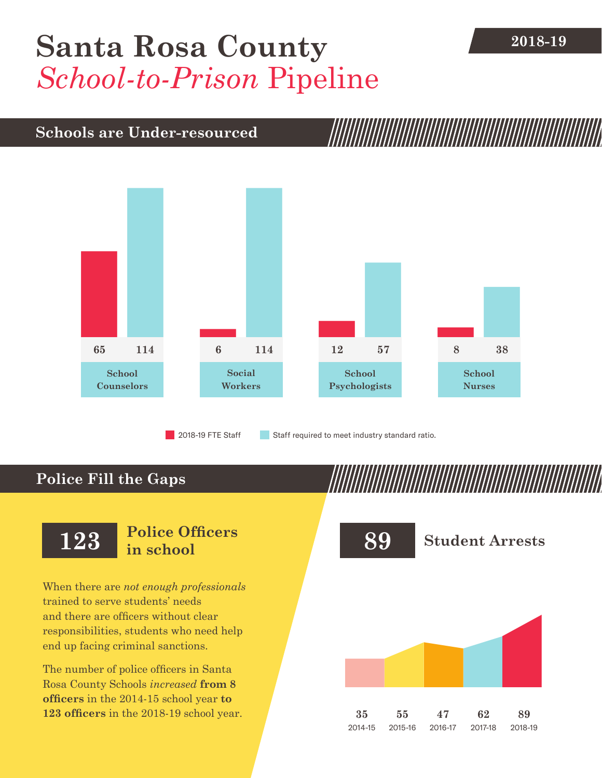## **2018-19 [Santa Rosa County](DBF_County)** *School-to-Prison* Pipeline

### **Schools are Under-resourced**



2018-19 FTE Staff **Staff required to meet industry standard ratio.** 

### **Police Fill the Gaps**

When there are *not enough professionals* trained to serve students' needs and there are officers without clear responsibilities, students who need help end up facing criminal sanctions.

The number of police officers in [Santa](DBF_County)  [Rosa County](DBF_County) Schools *increased* **from [8](DBF_PO1415) officers** in the 2014-15 school year **to [123](DBF_PO) officers** in the 2018-19 school year.